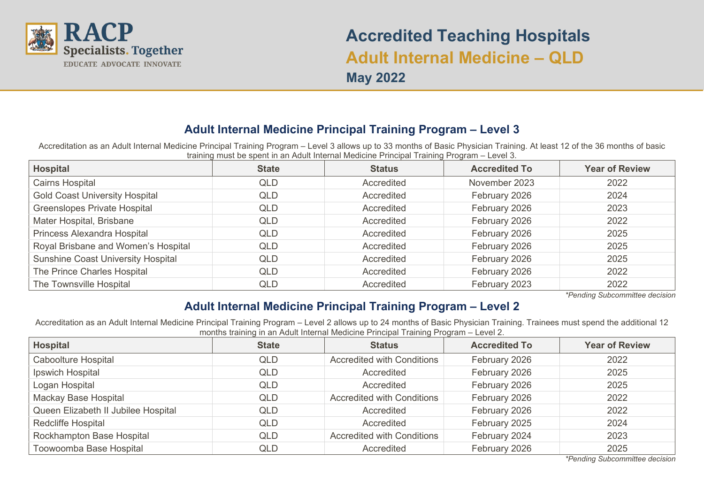

# **Accredited Teaching Hospitals Adult Internal Medicine – QLD May 2022**

## **Adult Internal Medicine Principal Training Program – Level 3**

Accreditation as an Adult Internal Medicine Principal Training Program – Level 3 allows up to 33 months of Basic Physician Training. At least 12 of the 36 months of basic training must be spent in an Adult Internal Medicine Principal Training Program – Level 3.

| Hospital                                  | <b>State</b> | <b>Status</b> | <b>Accredited To</b> | <b>Year of Review</b> |
|-------------------------------------------|--------------|---------------|----------------------|-----------------------|
| <b>Cairns Hospital</b>                    | QLD          | Accredited    | November 2023        | 2022                  |
| <b>Gold Coast University Hospital</b>     | QLD          | Accredited    | February 2026        | 2024                  |
| <b>Greenslopes Private Hospital</b>       | QLD          | Accredited    | February 2026        | 2023                  |
| Mater Hospital, Brisbane                  | QLD          | Accredited    | February 2026        | 2022                  |
| Princess Alexandra Hospital               | QLD          | Accredited    | February 2026        | 2025                  |
| Royal Brisbane and Women's Hospital       | <b>QLD</b>   | Accredited    | February 2026        | 2025                  |
| <b>Sunshine Coast University Hospital</b> | QLD          | Accredited    | February 2026        | 2025                  |
| The Prince Charles Hospital               | QLD          | Accredited    | February 2026        | 2022                  |
| The Townsville Hospital                   | <b>QLD</b>   | Accredited    | February 2023        | 2022                  |

*\*Pending Subcommittee decision*

## **Adult Internal Medicine Principal Training Program – Level 2**

Accreditation as an Adult Internal Medicine Principal Training Program – Level 2 allows up to 24 months of Basic Physician Training. Trainees must spend the additional 12 months training in an Adult Internal Medicine Principal Training Program – Level 2.

| <b>Hospital</b>                     | <b>State</b> | <b>Status</b>                     | <b>Accredited To</b> | <b>Year of Review</b> |
|-------------------------------------|--------------|-----------------------------------|----------------------|-----------------------|
| Caboolture Hospital                 | QLD          | <b>Accredited with Conditions</b> | February 2026        | 2022                  |
| Ipswich Hospital                    | QLD          | Accredited                        | February 2026        |                       |
| Logan Hospital                      | QLD          | Accredited                        | February 2026        |                       |
| Mackay Base Hospital                | QLD          | <b>Accredited with Conditions</b> | February 2026        | 2022                  |
| Queen Elizabeth II Jubilee Hospital | QLD          | Accredited                        | February 2026        | 2022                  |
| <b>Redcliffe Hospital</b>           | QLD          | Accredited                        | February 2025        | 2024                  |
| Rockhampton Base Hospital           | QLD          | <b>Accredited with Conditions</b> | February 2024        | 2023                  |
| Toowoomba Base Hospital             | QLD          | Accredited                        | February 2026        | 2025                  |

*\*Pending Subcommittee decision*